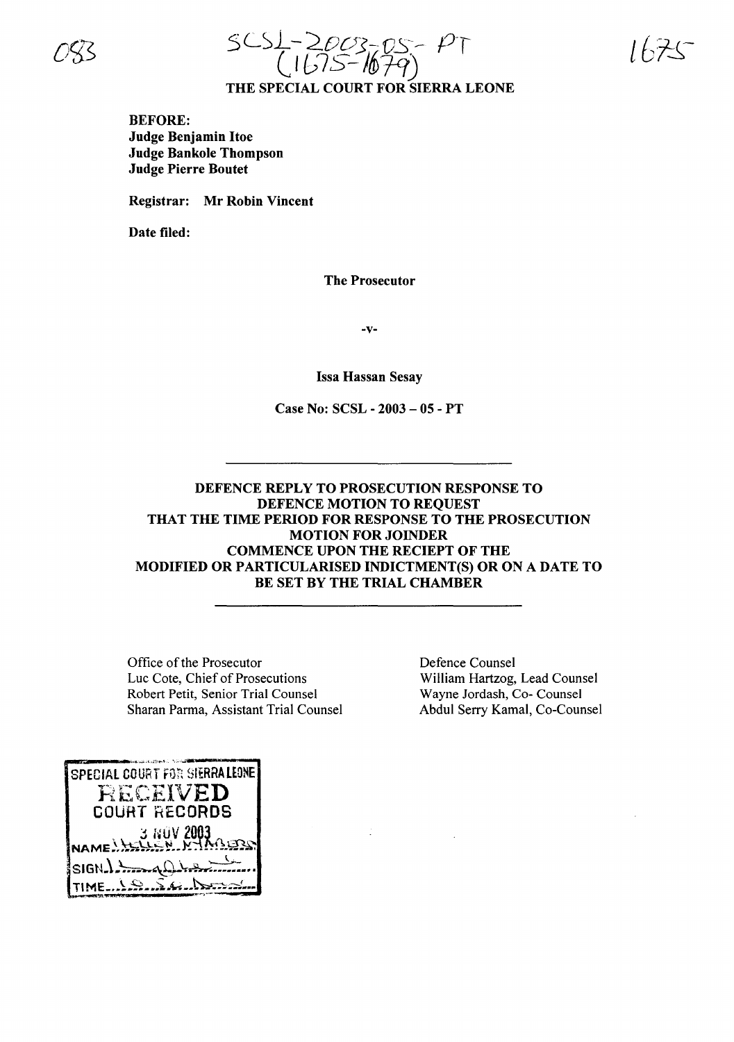



BEFORE: Judge Benjamin Hoe Judge Bankole Thompson Judge Pierre Boutet

Registrar: Mr Robin Vincent

Date filed:

The Prosecutor

·v·

Issa Hassan Sesay

Case No: SCSL • 2003 - 05 - PT

# DEFENCE REPLY TO PROSECUTION RESPONSE TO DEFENCE MOTION TO REQUEST THAT THE TIME PERIOD FOR RESPONSE TO THE PROSECUTION MOTION FOR JOINDER COMMENCE UPON THE RECIEPT OF THE MODIFIED OR PARTICULARISED INDICTMENT(S) OR ON A DATE TO BE SET BY THE TRIAL CHAMBER

Office of the Prosecutor Luc Cote, Chief of Prosecutions Robert Petit, Senior Trial Counsel Sharan Parma, Assistant Trial Counsel Defence Counsel William Hartzog, Lead Counsel Wayne Jordash, Co- Counsel Abdul Serry Kamal, Co-Counsel

SPECIAL COURT FOR SIERRALEONE RECEIVED COURT RECORDS Y NOV 2003  $SISH.$ [; (~ -. ,~~, TI.ME.\_••••••••~.~•• •••;,\_•••• .\_"'.:~ .....- "......-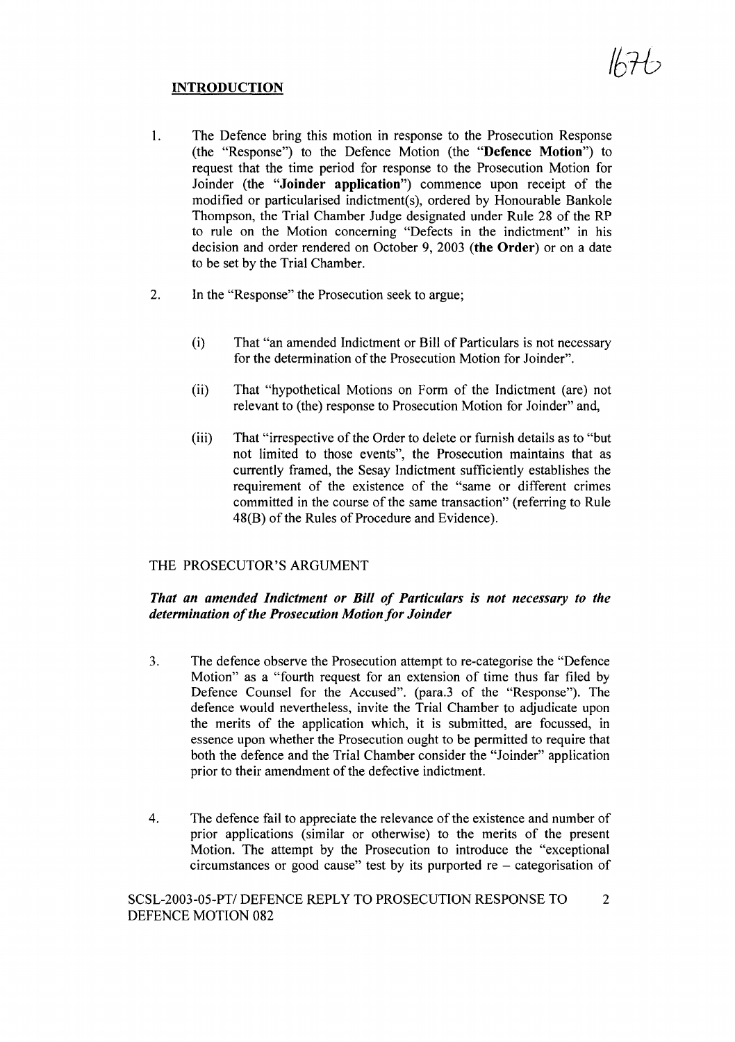# INTRODUCTION

- 1. The Defence bring this motion in response to the Prosecution Response (the "Response") to the Defence Motion (the "Defence Motion") to request that the time period for response to the Prosecution Motion for Joinder (the "Joinder application") commence upon receipt of the modified or particularised indictment(s), ordered by Honourable Bankole Thompson, the Trial Chamber Judge designated under Rule 28 of the RP to rule on the Motion concerning "Defects in the indictment" in his decision and order rendered on October 9, 2003 (the Order) or on a date to be set by the Trial Chamber.
- 2. In the "Response" the Prosecution seek to argue;
	- (i) That "an amended Indictment or Bill of Particulars is not necessary for the determination of the Prosecution Motion for Joinder".
	- (ii) That "hypothetical Motions on Form of the Indictment (are) not relevant to (the) response to Prosecution Motion for Joinder" and,
	- (iii) That "irrespective of the Order to delete or furnish details as to "but" not limited to those events", the Prosecution maintains that as currently framed, the Sesay Indictment sufficiently establishes the requirement of the existence of the "same or different crimes committed in the course of the same transaction" (referring to Rule 48(B) of the Rules of Procedure and Evidence).

## THE PROSECUTOR'S ARGUMENT

## *That an amended Indictment or Bill of Particulars is not necessary to the determination ofthe Prosecution Motion for Joinder*

- 3. The defence observe the Prosecution attempt to re-categorise the "Defence Motion" as a "fourth request for an extension of time thus far filed by Defence Counsel for the Accused". (para.3 of the "Response"). The defence would nevertheless, invite the Trial Chamber to adjudicate upon the merits of the application which, it is submitted, are focussed, in essence upon whether the Prosecution ought to be permitted to require that both the defence and the Trial Chamber consider the "Joinder" application prior to their amendment of the defective indictment.
- 4. The defence fail to appreciate the relevance of the existence and number of prior applications (similar or otherwise) to the merits of the present Motion. The attempt by the Prosecution to introduce the "exceptional circumstances or good cause" test by its purported  $re -$  categorisation of

SCSL-2003-05-PT/ DEFENCE REPLY TO PROSECUTION RESPONSE TO 2 DEFENCE MOTION 082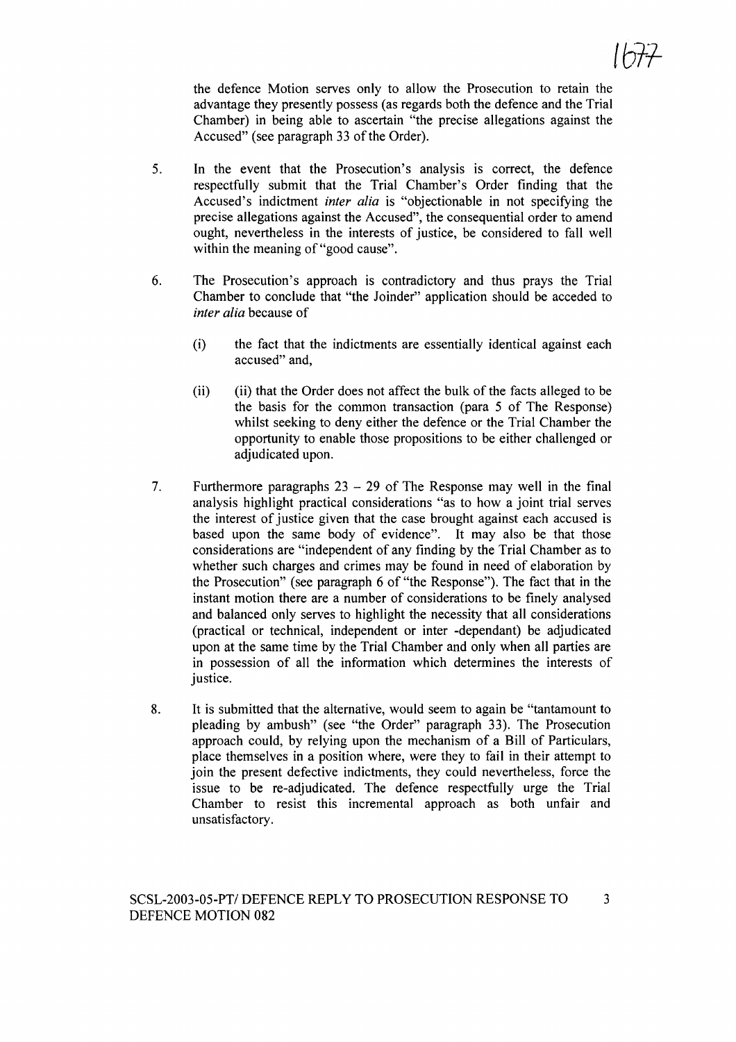the defence Motion serves only to allow the Prosecution to retain the advantage they presently possess (as regards both the defence and the Trial Chamber) in being able to ascertain "the precise allegations against the Accused" (see paragraph 33 of the Order).

- 5. In the event that the Prosecution's analysis is correct, the defence respectfully submit that the Trial Chamber's Order finding that the Accused's indictment *inter alia* is "objectionable in not specifying the precise allegations against the Accused", the consequential order to amend ought, nevertheless in the interests of justice, be considered to fall well within the meaning of "good cause".
- 6. The Prosecution's approach is contradictory and thus prays the Trial Chamber to conclude that "the Joinder" application should be acceded to *inter alia* because of
	- (i) the fact that the indictments are essentially identical against each accused" and,
	- (ii) (ii) that the Order does not affect the bulk of the facts alleged to be the basis for the common transaction (para 5 of The Response) whilst seeking to deny either the defence or the Trial Chamber the opportunity to enable those propositions to be either challenged or adjudicated upon.
- 7. Furthermore paragraphs  $23 29$  of The Response may well in the final analysis highlight practical considerations "as to how a joint trial serves the interest of justice given that the case brought against each accused is based upon the same body of evidence". It may also be that those considerations are "independent of any finding by the Trial Chamber as to whether such charges and crimes may be found in need of elaboration by the Prosecution" (see paragraph 6 of "the Response"). The fact that in the instant motion there are a number of considerations to be finely analysed and balanced only serves to highlight the necessity that all considerations (practical or technical, independent or inter -dependant) be adjudicated upon at the same time by the Trial Chamber and only when all parties are in possession of all the information which determines the interests of justice.
- 8. It is submitted that the alternative, would seem to again be "tantamount to pleading by ambush" (see "the Order" paragraph 33). The Prosecution approach could, by relying upon the mechanism of a Bill of Particulars, place themselves in a position where, were they to fail in their attempt to join the present defective indictments, they could nevertheless, force the issue to be re-adjudicated. The defence respectfully urge the Trial Chamber to resist this incremental approach as both unfair and unsatisfactory.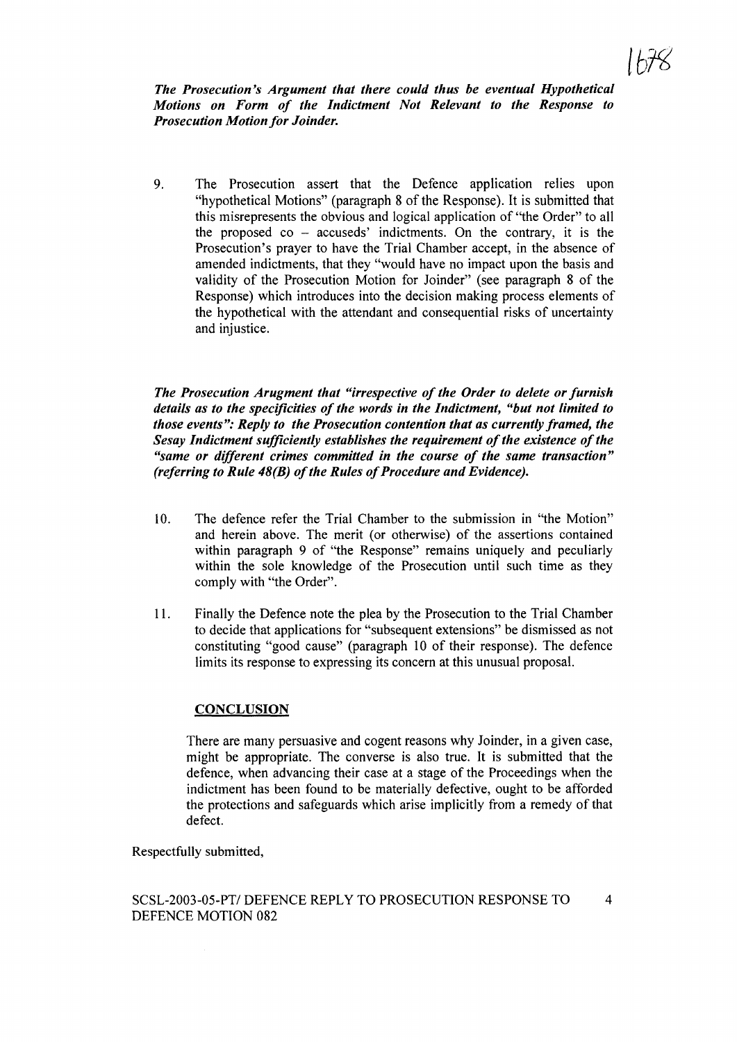*The Prosecution's Argument that there could thus be eventual Hypothetical Motions on Form of the Indictment Not Relevant to the Response to Prosecution Motion for Joinder.*

9. The Prosecution assert that the Defence application relies upon "hypothetical Motions" (paragraph 8 of the Response). It is submitted that this misrepresents the obvious and logical application of "the Order" to all the proposed  $\infty$  – accuseds' indictments. On the contrary, it is the Prosecution's prayer to have the Trial Chamber accept, in the absence of amended indictments, that they "would have no impact upon the basis and validity of the Prosecution Motion for Joinder" (see paragraph 8 of the Response) which introduces into the decision making process elements of the hypothetical with the attendant and consequential risks of uncertainty and injustice.

*The Prosecution Arugment that "irrespective of the Order to delete orfurnish details as to the specificities ofthe words in the Indictment, "but not limited to those events": Reply to the Prosecution contention that as currently framed, the Sesay Indictment sufficiently establishes the requirement ofthe existence ofthe "same or different crimes committed in the course of the same transaction" (referring to Rule 48(B) of the Rules of Procedure and Evidence).* 

- 10. The defence refer the Trial Chamber to the submission in "the Motion" and herein above. The merit (or otherwise) of the assertions contained within paragraph 9 of "the Response" remains uniquely and peculiarly within the sole knowledge of the Prosecution until such time as they comply with "the Order".
- 11. Finally the Defence note the plea by the Prosecution to the Trial Chamber to decide that applications for "subsequent extensions" be dismissed as not constituting "good cause" (paragraph 10 of their response). The defence limits its response to expressing its concern at this unusual proposal.

### **CONCLUSION**

There are many persuasive and cogent reasons why Joinder, in a given case, might be appropriate. The converse is also true. It is submitted that the defence, when advancing their case at a stage of the Proceedings when the indictment has been found to be materially defective, ought to be afforded the protections and safeguards which arise implicitly from a remedy of that defect.

Respectfully submitted,

### SCSL-2003-05-PT/ DEFENCE REPLY TO PROSECUTION RESPONSE TO 4 DEFENCE MOTION 082